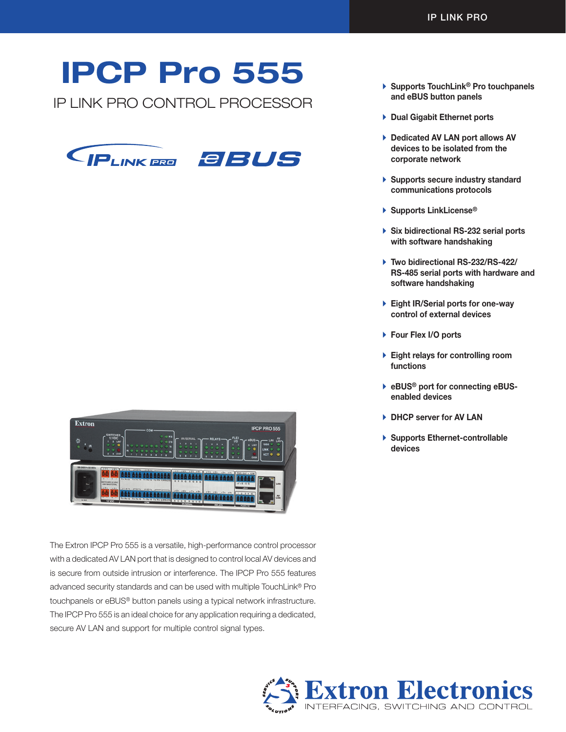# IPCP Pro 555

IP LINK PRO CONTROL PROCESSOR



Extron **IPCP PRO 555** nan ana ana anana **ana anan anan anan** ian ana ana anana anan anan

The Extron IPCP Pro 555 is a versatile, high-performance control processor with a dedicated AV LAN port that is designed to control local AV devices and is secure from outside intrusion or interference. The IPCP Pro 555 features advanced security standards and can be used with multiple TouchLink® Pro touchpanels or eBUS® button panels using a typical network infrastructure. The IPCP Pro 555 is an ideal choice for any application requiring a dedicated, secure AV LAN and support for multiple control signal types.

- ▶ Supports TouchLink<sup>®</sup> Pro touchpanels and eBUS button panels
- $\triangleright$  Dual Gigabit Ethernet ports
- ▶ Dedicated AV LAN port allows AV devices to be isolated from the corporate network
- $\blacktriangleright$  Supports secure industry standard communications protocols
- ▶ Supports LinkLicense<sup>®</sup>
- $\triangleright$  Six bidirectional RS-232 serial ports with software handshaking
- ▶ Two bidirectional RS-232/RS-422/ RS-485 serial ports with hardware and software handshaking
- ▶ Eight IR/Serial ports for one-way control of external devices
- ▶ Four Flex I/O ports
- $\blacktriangleright$  Eight relays for controlling room functions
- ▶ eBUS<sup>®</sup> port for connecting eBUSenabled devices
- ▶ DHCP server for AV LAN
- ▶ Supports Ethernet-controllable devices